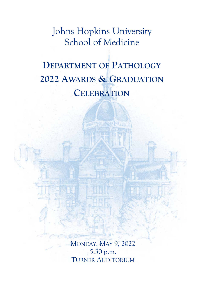Johns Hopkins University School of Medicine

## **DEPARTMENT OF PATHOLOGY 2022 AWARDS & GRADUATION CELEBRATION**

MONDAY, MAY 9, 2022 5:30 p.m. TURNER AUDITORIUM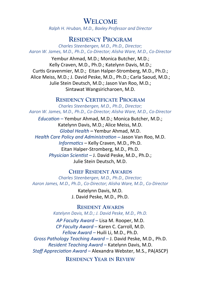### **WELCOME**

*Ralph H. Hruban, M.D., Baxley Professor and Director* 

#### **RESIDENCY PROGRAM**

*Charles Steenbergen, M.D., Ph.D., Director; Aaron W. James, M.D., Ph.D., Co‐Director; Alisha Ware, M.D., Co‐Director* 

Yembur Ahmad, M.D.; Monica Butcher, M.D.; Kelly Craven, M.D., Ph.D.; Katelynn Davis, M.D.; Curtis Gravenmier, M.D.; Eitan Halper-Stromberg, M.D., Ph.D.; Alice Meiss, M.D.; J. David Peske, M.D., Ph.D.; Carla Saoud, M.D.; Julie Stein Deutsch, M.D.; Jason Van Roo, M.D.; Sintawat Wangsiricharoen, M.D.

#### **RESIDENCY CERTIFICATE PROGRAM**

*Charles Steenbergen, M.D., Ph.D., Director; Aaron W. James, M.D., Ph.D., Co‐Director; Alisha Ware, M.D., Co‐Director* 

*EducaƟon* – Yembur Ahmad, M.D.; Monica Butcher, M.D.; Katelynn Davis, M.D.; Alice Meiss, M.D. *Global Health* – Yembur Ahmad, M.D. *Health Care Policy and AdministraƟon* – Jason Van Roo, M.D. *InformaƟcs* – Kelly Craven, M.D., Ph.D. Eitan Halper‐Stromberg, M.D., Ph.D. *Physician ScienƟst* – J. David Peske, M.D., Ph.D.; Julie Stein Deutsch, M.D.

#### **CHIEF RESIDENT AWARDS**

*Charles Steenbergen, M.D., Ph.D., Director; Aaron James, M.D., Ph.D., Co‐Director; Alisha Ware, M.D., Co‐Director* 

> Katelynn Davis, M.D. J. David Peske, M.D., Ph.D.

**RESIDENT AWARDS** *Katelynn Davis, M.D.; J. David Peske, M.D., Ph.D.* 

*AP Faculty Award* – Lisa M. Rooper, M.D. *CP Faculty Award* – Karen C. Carroll, M.D. *Fellow Award –* Huili Li, M.D., Ph.D. *Gross Pathology Teaching Award* – J. David Peske, M.D., Ph.D. *Resident Teaching Award* – Katelynn Davis, M.D.

*Staff AppreciaƟon Award –* Alexandra Webster, M.S., PA(ASCP)

**RESIDENCY YEAR IN REVIEW**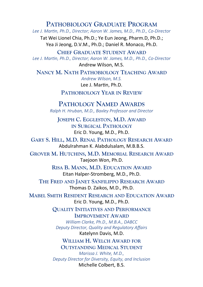**PATHOBIOLOGY GRADUATE PROGRAM** *Lee J. MarƟn, Ph.D., Director; Aaron W. James, M.D., Ph.D., Co‐Director* 

Tat Wei Lionel Chia, Ph.D.; Ye Eun Jeong, Pharm.D, Ph.D.; Yea Ji Jeong, D.V.M., Ph.D.; Daniel R. Monaco, Ph.D.

**CHIEF GRADUATE STUDENT AWARD** Lee J. Martin, Ph.D., Director; Aaron W. James, M.D., Ph.D., Co-Director Andrew Wilson, M.S.

**NANCY M. NATH PATHOBIOLOGY TEACHING AWARD** *Andrew Wilson, M.S.*  Lee J. Martin, Ph.D.

**PATHOBIOLOGY YEAR IN REVIEW**

**PATHOLOGY NAMED AWARDS** *Ralph H. Hruban, M.D., Baxley Professor and Director* 

**JOSEPH C. EGGLESTON, M.D. AWARD IN SURGICAL PATHOLOGY** Eric D. Young, M.D., Ph.D.

**GARY S. HILL, M.D. RENAL PATHOLOGY RESEARCH AWARD** Abdulrahman K. Alabdulsalam, M.B.B.S.

**GROVER M. HUTCHINS, M.D. MEMORIAL RESEARCH AWARD**  Taejoon Won, Ph.D.

> **RISA B. MANN, M.D. EDUCATION AWARD** Eitan Halper‐Stromberg, M.D., Ph.D.

**THE FRED AND JANET SANFILIPPO RESEARCH AWARD**  Thomas D. Zaikos, M.D., Ph.D.

**MABEL SMITH RESIDENT RESEARCH AND EDUCATION AWARD**  Eric D. Young, M.D., Ph.D.

> **QUALITY INITIATIVES AND PERFORMANCE IMPROVEMENT AWARD**

*William Clarke, Ph.D., M.B.A., DABCC Deputy Director, Quality and Regulatory Affairs*  Katelynn Davis, M.D.

**WILLIAM H. WELCH AWARD FOR OUTSTANDING MEDICAL STUDENT** 

*Marissa J. White, M.D., Deputy Director for Diversity, Equity, and Inclusion*  Michelle Colbert, B.S.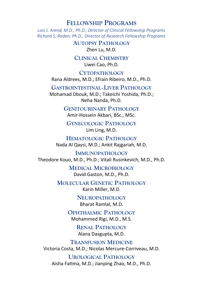#### **FELLOWSHIP PROGRAMS**

*Lois J. Arend, M.D., Ph.D., Director of Clinical Fellowship Programs Richard S. Roden, Ph.D., Director of Research Fellowship Programs* 

> **AUTOPSY PATHOLOGY** Zhen Lu, M.D.

**CLINICAL CHEMISTRY** Liwei Cao, Ph.D.

**CYTOPATHOLOGY** Rana Aldrees, M.D.; Efrain Ribeiro, M.D., Ph.D.

**GASTROINTESTINAL–LIVER PATHOLOGY** Mohamad Dbouk, M.D.; Takeichi Yoshida, Ph.D.; Neha Nanda, Ph.D.

> **GENITOURINARY PATHOLOGY** Amir‐Hossein Akbari, BSc., MSc.

**GYNECOLOGIC PATHOLOGY**  Lim Ling, M.D.

**HEMATOLOGIC PATHOLOGY** Nada Al Qaysi, M.D.; Ankit Rajgariah, M.D.

**IMMUNOPATHOLOGY** Theodore Kouo, M.D., Ph.D.; Vitali Rusinkevich, M.D., Ph.D.

> **MEDICAL MICROBIOLOGY** David Gaston, M.D., Ph.D.

**MOLECULAR GENETIC PATHOLOGY** Karin Miller, M.D.

> **NEUROPATHOLOGY** Bharat Ramlal, M.D.

**OPHTHALMIC PATHOLOGY** Mohammed Rigi, M.D., M.S.

> **RENAL PATHOLOGY**  Alana Dasgupta, M.D.

**TRANSFUSION MEDICINE** Victoria Costa, M.D.; Nicolas Mercure‐Corriveau, M.D.

**UROLOGICAL PATHOLOGY**  Aisha Fatima, M.D.; Jianping Zhao, M.D., Ph.D.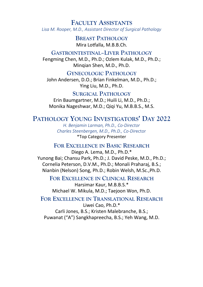**FACULTY ASSISTANTS** *Lisa M. Rooper, M.D., Assistant Director of Surgical Pathology* 

> **BREAST PATHOLOGY** Mira Lotfalla, M.B.B.Ch.

**GASTROINTESTINAL–LIVER PATHOLOGY** Fengming Chen, M.D., Ph.D.; Ozlem Kulak, M.D., Ph.D.; Minqian Shen, M.D., Ph.D.

**GYNECOLOGIC PATHOLOGY**

John Andersen, D.O.; Brian Finkelman, M.D., Ph.D.; Ying Liu, M.D., Ph.D.

**SURGICAL PATHOLOGY**

Erin Baumgartner, M.D.; Huili Li, M.D., Ph.D.; Monika Nageshwar, M.D.; Qiqi Yu, M.B.B.S., M.S.

#### **PATHOLOGY YOUNG INVESTIGATORS' DAY 2022**

*H. Benjamin Larman, Ph.D., Co‐Director Charles Steenbergen, M.D., Ph.D., Co‐Dir*ector \*Top Category Presenter

#### **FOR EXCELLENCE IN BASIC RESEARCH**

Diego A. Lema, M.D., Ph.D.\* Yunong Bai; Chansu Park, Ph.D.; J. David Peske, M.D., Ph.D.; Cornelia Peterson, D.V.M., Ph.D.; Monali Praharaj, B.S.; Nianbin (Nelson) Song, Ph.D.; Robin Welsh, M.Sc.,Ph.D.

**FOR EXCELLENCE IN CLINICAL RESEARCH**

Harsimar Kaur, M.B.B.S.\* Michael W. Mikula, M.D.; Taejoon Won, Ph.D.

**FOR EXCELLENCE IN TRANSLATIONAL RESEARCH**  Liwei Cao, Ph.D.\* Carli Jones, B.S.; Kristen Malebranche, B.S.; Puwanat ("A") Sangkhapreecha, B.S.; Yeh Wang, M.D.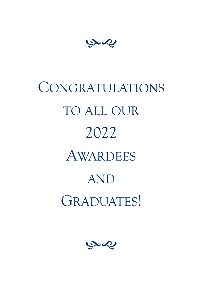بهمي

# CONGRATULATIONS TO ALL OUR 2022 AWARDEES AND GRADUATES!